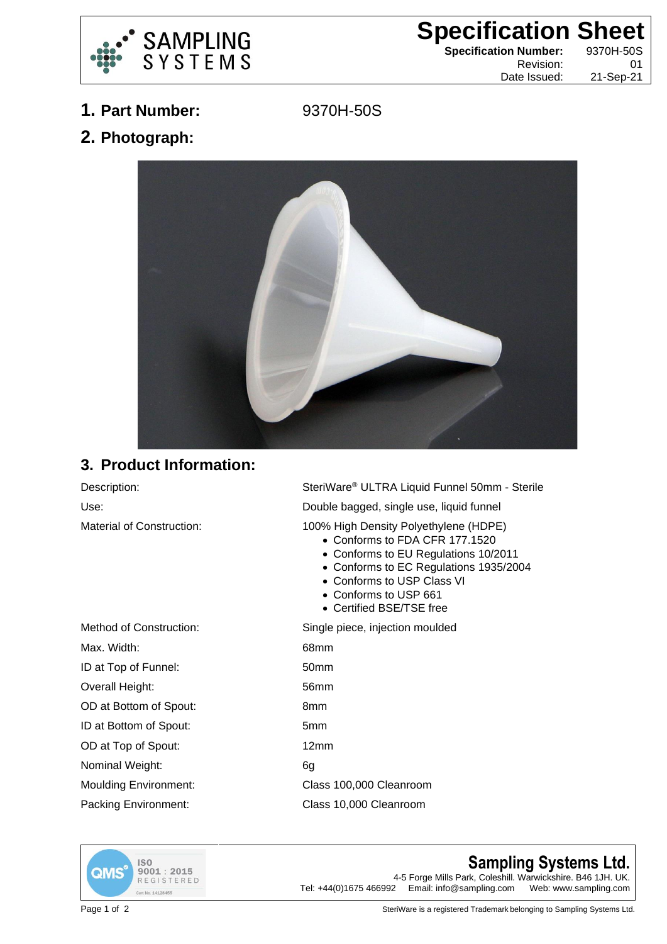

## **Specification Sheet**

**Specification Number:** 9370H-50S

Revision: 01 Date Issued: 21-Sep-21

**1. Part Number:** 9370H-50S

**2. Photograph:**



## **3. Product Information:**

Material of Construction: 100% High Density Polyethylene (HDPE)

Description: SteriWare® ULTRA Liquid Funnel 50mm - Sterile Use: Double bagged, single use, liquid funnel

- Conforms to FDA CFR 177.1520
- Conforms to EU Regulations 10/2011
- Conforms to EC Regulations 1935/2004
- Conforms to USP Class VI
- Conforms to USP 661
- Certified BSE/TSE free

Method of Construction: Single piece, injection moulded Max. Width: 68mm ID at Top of Funnel: 50mm Overall Height: 56mm OD at Bottom of Spout: 8mm ID at Bottom of Spout: 5mm OD at Top of Spout: 12mm Nominal Weight: 6g Moulding Environment: Class 100,000 Cleanroom Packing Environment: Class 10,000 Cleanroom



**Sampling Systems Ltd.**

4-5 Forge Mills Park, Coleshill. Warwickshire. B46 1JH. UK.<br>Tel: +44(0)1675 466992 Email: info@sampling.com Web: www.sampling.com Email: info@sampling.com

Page 1 of 2 SteriWare is a registered Trademark belonging to Sampling Systems Ltd.